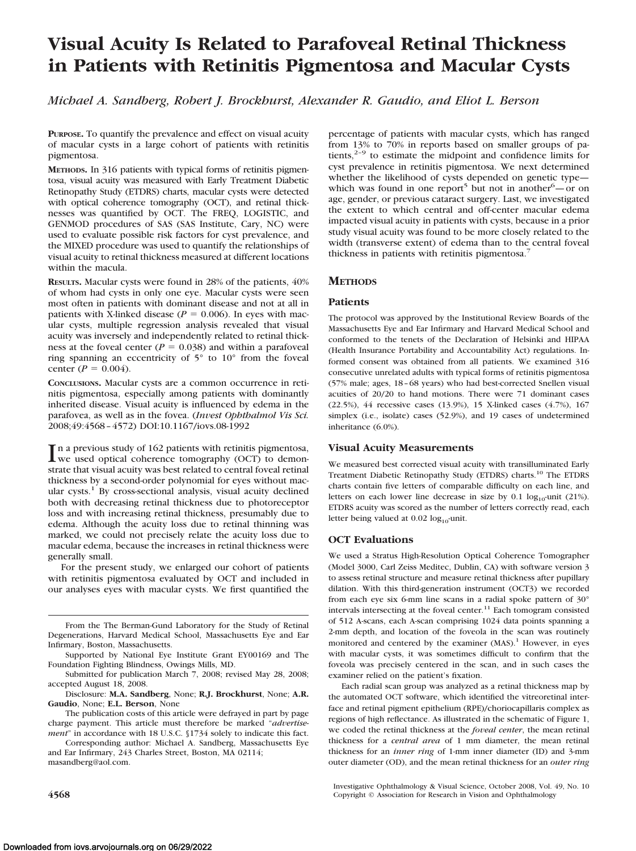# **Visual Acuity Is Related to Parafoveal Retinal Thickness in Patients with Retinitis Pigmentosa and Macular Cysts**

*Michael A. Sandberg, Robert J. Brockhurst, Alexander R. Gaudio, and Eliot L. Berson*

**PURPOSE.** To quantify the prevalence and effect on visual acuity of macular cysts in a large cohort of patients with retinitis pigmentosa.

**METHODS.** In 316 patients with typical forms of retinitis pigmentosa, visual acuity was measured with Early Treatment Diabetic Retinopathy Study (ETDRS) charts, macular cysts were detected with optical coherence tomography (OCT), and retinal thicknesses was quantified by OCT. The FREQ, LOGISTIC, and GENMOD procedures of SAS (SAS Institute, Cary, NC) were used to evaluate possible risk factors for cyst prevalence, and the MIXED procedure was used to quantify the relationships of visual acuity to retinal thickness measured at different locations within the macula.

**RESULTS.** Macular cysts were found in 28% of the patients, 40% of whom had cysts in only one eye. Macular cysts were seen most often in patients with dominant disease and not at all in patients with X-linked disease ( $P = 0.006$ ). In eyes with macular cysts, multiple regression analysis revealed that visual acuity was inversely and independently related to retinal thickness at the foveal center  $(P = 0.038)$  and within a parafoveal ring spanning an eccentricity of 5° to 10° from the foveal center ( $P = 0.004$ ).

**CONCLUSIONS.** Macular cysts are a common occurrence in retinitis pigmentosa, especially among patients with dominantly inherited disease. Visual acuity is influenced by edema in the parafovea, as well as in the fovea. (*Invest Ophthalmol Vis Sci.* 2008;49:4568 – 4572) DOI:10.1167/iovs.08-1992

In a previous study of 162 patients with retinitis pigmentosa,<br>we used optical coherence tomography (OCT) to demon-<br>the distributional antiments related to some linear antimelistic we used optical coherence tomography (OCT) to demonstrate that visual acuity was best related to central foveal retinal thickness by a second-order polynomial for eyes without macular cysts.<sup>1</sup> By cross-sectional analysis, visual acuity declined both with decreasing retinal thickness due to photoreceptor loss and with increasing retinal thickness, presumably due to edema. Although the acuity loss due to retinal thinning was marked, we could not precisely relate the acuity loss due to macular edema, because the increases in retinal thickness were generally small.

For the present study, we enlarged our cohort of patients with retinitis pigmentosa evaluated by OCT and included in our analyses eyes with macular cysts. We first quantified the

Corresponding author: Michael A. Sandberg, Massachusetts Eye and Ear Infirmary, 243 Charles Street, Boston, MA 02114; masandberg@aol.com.

percentage of patients with macular cysts, which has ranged from 13% to 70% in reports based on smaller groups of patients, $2-9$  to estimate the midpoint and confidence limits for cyst prevalence in retinitis pigmentosa. We next determined whether the likelihood of cysts depended on genetic type which was found in one report<sup>5</sup> but not in another<sup>6</sup> $-$ or on age, gender, or previous cataract surgery. Last, we investigated the extent to which central and off-center macular edema impacted visual acuity in patients with cysts, because in a prior study visual acuity was found to be more closely related to the width (transverse extent) of edema than to the central foveal thickness in patients with retinitis pigmentosa.<sup>7</sup>

# **METHODS**

## **Patients**

The protocol was approved by the Institutional Review Boards of the Massachusetts Eye and Ear Infirmary and Harvard Medical School and conformed to the tenets of the Declaration of Helsinki and HIPAA (Health Insurance Portability and Accountability Act) regulations. Informed consent was obtained from all patients. We examined 316 consecutive unrelated adults with typical forms of retinitis pigmentosa (57% male; ages, 18 – 68 years) who had best-corrected Snellen visual acuities of 20/20 to hand motions. There were 71 dominant cases (22.5%), 44 recessive cases (13.9%), 15 X-linked cases (4.7%), 167 simplex (i.e., isolate) cases (52.9%), and 19 cases of undetermined inheritance (6.0%).

# **Visual Acuity Measurements**

We measured best corrected visual acuity with transilluminated Early Treatment Diabetic Retinopathy Study (ETDRS) charts.10 The ETDRS charts contain five letters of comparable difficulty on each line, and letters on each lower line decrease in size by  $0.1 \log_{10}$ -unit (21%). ETDRS acuity was scored as the number of letters correctly read, each letter being valued at  $0.02 \log_{10}$ -unit.

# **OCT Evaluations**

We used a Stratus High-Resolution Optical Coherence Tomographer (Model 3000, Carl Zeiss Meditec, Dublin, CA) with software version 3 to assess retinal structure and measure retinal thickness after pupillary dilation. With this third-generation instrument (OCT3) we recorded from each eye six 6-mm line scans in a radial spoke pattern of 30° intervals intersecting at the foveal center.<sup>11</sup> Each tomogram consisted of 512 A-scans, each A-scan comprising 1024 data points spanning a 2-mm depth, and location of the foveola in the scan was routinely monitored and centered by the examiner (MAS).<sup>1</sup> However, in eyes with macular cysts, it was sometimes difficult to confirm that the foveola was precisely centered in the scan, and in such cases the examiner relied on the patient's fixation.

Each radial scan group was analyzed as a retinal thickness map by the automated OCT software, which identified the vitreoretinal interface and retinal pigment epithelium (RPE)/choriocapillaris complex as regions of high reflectance. As illustrated in the schematic of Figure 1, we coded the retinal thickness at the *foveal center*, the mean retinal thickness for a *central area* of 1 mm diameter, the mean retinal thickness for an *inner ring* of 1-mm inner diameter (ID) and 3-mm outer diameter (OD), and the mean retinal thickness for an *outer ring*

Investigative Ophthalmology & Visual Science, October 2008, Vol. 49, No. 10 **4568** Copyright © Association for Research in Vision and Ophthalmology

From the The Berman-Gund Laboratory for the Study of Retinal Degenerations, Harvard Medical School, Massachusetts Eye and Ear Infirmary, Boston, Massachusetts.

Supported by National Eye Institute Grant EY00169 and The Foundation Fighting Blindness, Owings Mills, MD.

Submitted for publication March 7, 2008; revised May 28, 2008; accepted August 18, 2008.

Disclosure: **M.A. Sandberg**, None; **R.J. Brockhurst**, None; **A.R. Gaudio**, None; **E.L. Berson**, None

The publication costs of this article were defrayed in part by page charge payment. This article must therefore be marked "*advertisement*" in accordance with 18 U.S.C. §1734 solely to indicate this fact.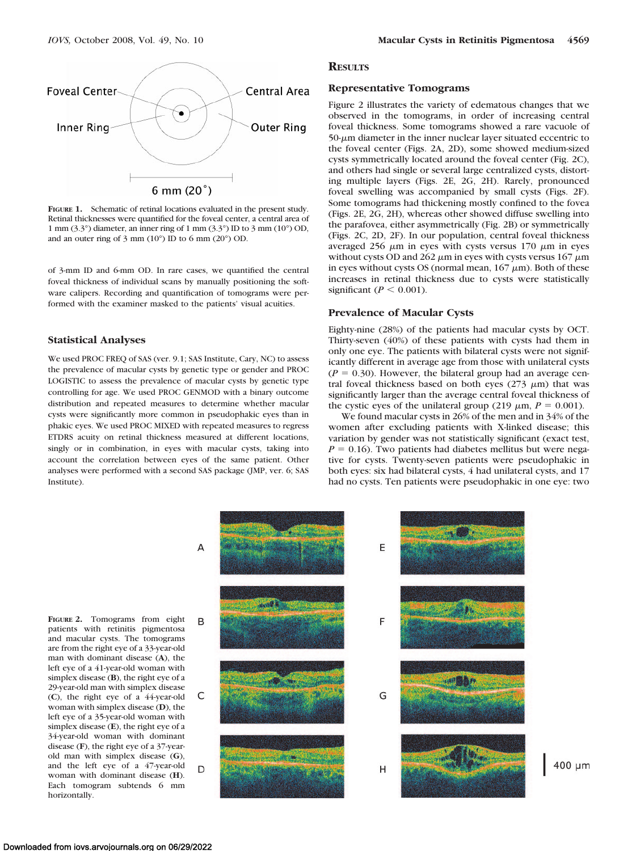

**FIGURE 1.** Schematic of retinal locations evaluated in the present study. Retinal thicknesses were quantified for the foveal center, a central area of 1 mm (3.3°) diameter, an inner ring of 1 mm (3.3°) ID to 3 mm (10°) OD, and an outer ring of 3 mm (10°) ID to 6 mm (20°) OD.

of 3-mm ID and 6-mm OD. In rare cases, we quantified the central foveal thickness of individual scans by manually positioning the software calipers. Recording and quantification of tomograms were performed with the examiner masked to the patients' visual acuities.

### **Statistical Analyses**

We used PROC FREQ of SAS (ver. 9.1; SAS Institute, Cary, NC) to assess the prevalence of macular cysts by genetic type or gender and PROC LOGISTIC to assess the prevalence of macular cysts by genetic type controlling for age. We used PROC GENMOD with a binary outcome distribution and repeated measures to determine whether macular cysts were significantly more common in pseudophakic eyes than in phakic eyes. We used PROC MIXED with repeated measures to regress ETDRS acuity on retinal thickness measured at different locations, singly or in combination, in eyes with macular cysts, taking into account the correlation between eyes of the same patient. Other analyses were performed with a second SAS package (JMP, ver. 6; SAS Institute).

#### **RESULTS**

#### **Representative Tomograms**

Figure 2 illustrates the variety of edematous changes that we observed in the tomograms, in order of increasing central foveal thickness. Some tomograms showed a rare vacuole of  $50-\mu m$  diameter in the inner nuclear layer situated eccentric to the foveal center (Figs. 2A, 2D), some showed medium-sized cysts symmetrically located around the foveal center (Fig. 2C), and others had single or several large centralized cysts, distorting multiple layers (Figs. 2E, 2G, 2H). Rarely, pronounced foveal swelling was accompanied by small cysts (Figs. 2F). Some tomograms had thickening mostly confined to the fovea (Figs. 2E, 2G, 2H), whereas other showed diffuse swelling into the parafovea, either asymmetrically (Fig. 2B) or symmetrically (Figs. 2C, 2D, 2F). In our population, central foveal thickness averaged 256  $\mu$ m in eyes with cysts versus 170  $\mu$ m in eyes without cysts OD and  $262 \mu m$  in eyes with cysts versus  $167 \mu m$ in eyes without cysts OS (normal mean,  $167 \mu m$ ). Both of these increases in retinal thickness due to cysts were statistically significant ( $P < 0.001$ ).

#### **Prevalence of Macular Cysts**

Eighty-nine (28%) of the patients had macular cysts by OCT. Thirty-seven (40%) of these patients with cysts had them in only one eye. The patients with bilateral cysts were not significantly different in average age from those with unilateral cysts  $(P = 0.30)$ . However, the bilateral group had an average central foveal thickness based on both eyes ( $273 \mu m$ ) that was significantly larger than the average central foveal thickness of the cystic eyes of the unilateral group (219  $\mu$ m,  $P = 0.001$ ).

We found macular cysts in 26% of the men and in 34% of the women after excluding patients with X-linked disease; this variation by gender was not statistically significant (exact test,  $P = 0.16$ ). Two patients had diabetes mellitus but were negative for cysts. Twenty-seven patients were pseudophakic in both eyes: six had bilateral cysts, 4 had unilateral cysts, and 17 had no cysts. Ten patients were pseudophakic in one eye: two

A

B

C

D

**FIGURE 2.** Tomograms from eight patients with retinitis pigmentosa and macular cysts. The tomograms are from the right eye of a 33-year-old man with dominant disease (**A**), the left eye of a 41-year-old woman with simplex disease (**B**), the right eye of a 29-year-old man with simplex disease (**C**), the right eye of a 44-year-old woman with simplex disease (**D**), the left eye of a 35-year-old woman with simplex disease (**E**), the right eye of a 34-year-old woman with dominant disease (**F**), the right eye of a 37-yearold man with simplex disease (**G**), and the left eye of a 47-year-old woman with dominant disease (**H**). Each tomogram subtends 6 mm horizontally.



400 um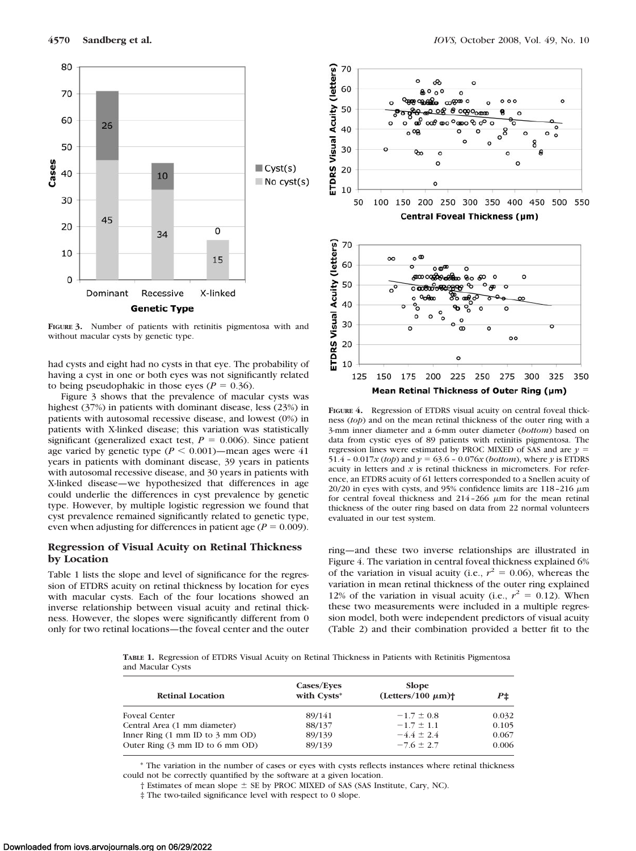

**FIGURE 3.** Number of patients with retinitis pigmentosa with and without macular cysts by genetic type.

had cysts and eight had no cysts in that eye. The probability of having a cyst in one or both eyes was not significantly related to being pseudophakic in those eyes ( $P = 0.36$ ).

Figure 3 shows that the prevalence of macular cysts was highest (37%) in patients with dominant disease, less (23%) in patients with autosomal recessive disease, and lowest (0%) in patients with X-linked disease; this variation was statistically significant (generalized exact test,  $P = 0.006$ ). Since patient age varied by genetic type  $(P \le 0.001)$ —mean ages were 41 years in patients with dominant disease, 39 years in patients with autosomal recessive disease, and 30 years in patients with X-linked disease—we hypothesized that differences in age could underlie the differences in cyst prevalence by genetic type. However, by multiple logistic regression we found that cyst prevalence remained significantly related to genetic type, even when adjusting for differences in patient age ( $P = 0.009$ ).

## **Regression of Visual Acuity on Retinal Thickness by Location**

Table 1 lists the slope and level of significance for the regression of ETDRS acuity on retinal thickness by location for eyes with macular cysts. Each of the four locations showed an inverse relationship between visual acuity and retinal thickness. However, the slopes were significantly different from 0 only for two retinal locations—the foveal center and the outer



**FIGURE 4.** Regression of ETDRS visual acuity on central foveal thickness (*top*) and on the mean retinal thickness of the outer ring with a 3-mm inner diameter and a 6-mm outer diameter (*bottom*) based on data from cystic eyes of 89 patients with retinitis pigmentosa. The regression lines were estimated by PROC MIXED of SAS and are *y* 51.4 – 0.017*x* (*top*) and  $\gamma = 63.6$  – 0.076*x* (*bottom*), where  $\gamma$  is ETDRS acuity in letters and  $x$  is retinal thickness in micrometers. For reference, an ETDRS acuity of 61 letters corresponded to a Snellen acuity of 20/20 in eyes with cysts, and 95% confidence limits are  $118-216 \mu m$ for central foveal thickness and  $214 - 266 \mu m$  for the mean retinal thickness of the outer ring based on data from 22 normal volunteers evaluated in our test system.

ring—and these two inverse relationships are illustrated in Figure 4. The variation in central foveal thickness explained 6% of the variation in visual acuity (i.e.,  $r^2 = 0.06$ ), whereas the variation in mean retinal thickness of the outer ring explained 12% of the variation in visual acuity (i.e.,  $r^2 = 0.12$ ). When these two measurements were included in a multiple regression model, both were independent predictors of visual acuity (Table 2) and their combination provided a better fit to the

**TABLE 1.** Regression of ETDRS Visual Acuity on Retinal Thickness in Patients with Retinitis Pigmentosa and Macular Cysts

| <b>Retinal Location</b>                             | Cases/Eyes<br>with Cysts* | <b>Slope</b><br>$(\text{Leters}/100 \mu m)$ <sup>+</sup> | P±    |
|-----------------------------------------------------|---------------------------|----------------------------------------------------------|-------|
| <b>Foveal Center</b>                                | 89/141                    | $-1.7 \pm 0.8$                                           | 0.032 |
| Central Area (1 mm diameter)                        | 88/137                    | $-1.7 \pm 1.1$                                           | 0.105 |
| Inner Ring $(1 \text{ mm ID}$ to $3 \text{ mm OD})$ | 89/139                    | $-4.4 \pm 2.4$                                           | 0.067 |
| Outer Ring $(3 \text{ mm ID}$ to $6 \text{ mm OD})$ | 89/139                    | $-7.6 \pm 2.7$                                           | 0.006 |

\* The variation in the number of cases or eyes with cysts reflects instances where retinal thickness could not be correctly quantified by the software at a given location.

 $\dagger$  Estimates of mean slope  $\pm$  SE by PROC MIXED of SAS (SAS Institute, Cary, NC).

‡ The two-tailed significance level with respect to 0 slope.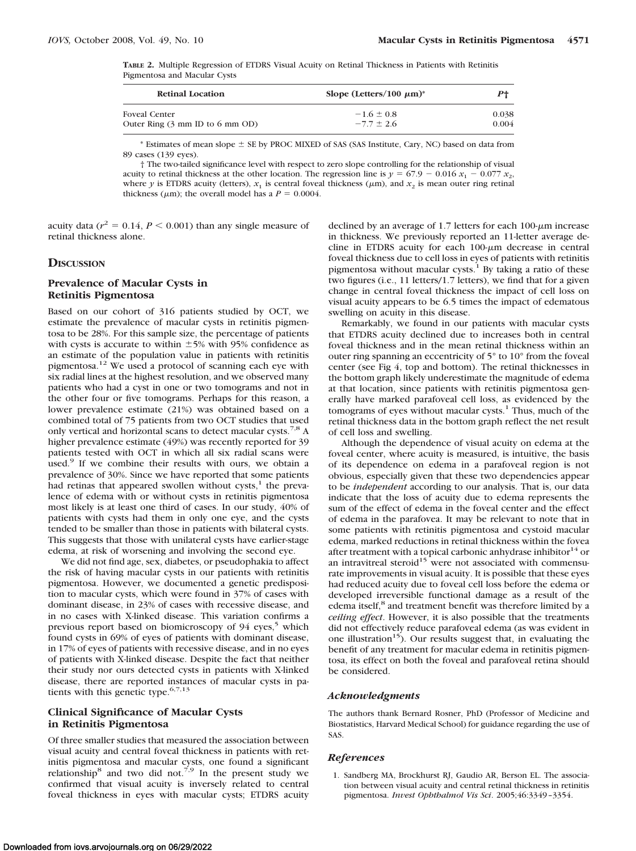**TABLE 2.** Multiple Regression of ETDRS Visual Acuity on Retinal Thickness in Patients with Retinitis Pigmentosa and Macular Cysts

| <b>Retinal Location</b>                             | Slope (Letters/100 $\mu$ m) <sup>*</sup> | P+    |
|-----------------------------------------------------|------------------------------------------|-------|
| <b>Foveal Center</b>                                | $-1.6 \pm 0.8$                           | 0.038 |
| Outer Ring $(3 \text{ mm ID}$ to $6 \text{ mm OD})$ | $-7.7 \pm 2.6$                           | 0.004 |

 $*$  Estimates of mean slope  $\pm$  SE by PROC MIXED of SAS (SAS Institute, Cary, NC) based on data from 89 cases (139 eyes).

† The two-tailed significance level with respect to zero slope controlling for the relationship of visual acuity to retinal thickness at the other location. The regression line is  $y = 67.9 - 0.016 x_1 - 0.077 x_2$ , where *y* is ETDRS acuity (letters),  $x_1$  is central foveal thickness ( $\mu$ m), and  $x_2$  is mean outer ring retinal thickness ( $\mu$ m); the overall model has a  $P = 0.0004$ .

acuity data  $(r^2 = 0.14, P \le 0.001)$  than any single measure of retinal thickness alone.

#### **DISCUSSION**

# **Prevalence of Macular Cysts in Retinitis Pigmentosa**

Based on our cohort of 316 patients studied by OCT, we estimate the prevalence of macular cysts in retinitis pigmentosa to be 28%. For this sample size, the percentage of patients with cysts is accurate to within  $\pm$ 5% with 95% confidence as an estimate of the population value in patients with retinitis pigmentosa.12 We used a protocol of scanning each eye with six radial lines at the highest resolution, and we observed many patients who had a cyst in one or two tomograms and not in the other four or five tomograms. Perhaps for this reason, a lower prevalence estimate (21%) was obtained based on a combined total of 75 patients from two OCT studies that used only vertical and horizontal scans to detect macular cysts.7,8 A higher prevalence estimate (49%) was recently reported for 39 patients tested with OCT in which all six radial scans were used.<sup>9</sup> If we combine their results with ours, we obtain a prevalence of 30%. Since we have reported that some patients had retinas that appeared swollen without  $cysts$ ,<sup>1</sup> the prevalence of edema with or without cysts in retinitis pigmentosa most likely is at least one third of cases. In our study, 40% of patients with cysts had them in only one eye, and the cysts tended to be smaller than those in patients with bilateral cysts. This suggests that those with unilateral cysts have earlier-stage edema, at risk of worsening and involving the second eye.

We did not find age, sex, diabetes, or pseudophakia to affect the risk of having macular cysts in our patients with retinitis pigmentosa. However, we documented a genetic predisposition to macular cysts, which were found in 37% of cases with dominant disease, in 23% of cases with recessive disease, and in no cases with X-linked disease. This variation confirms a previous report based on biomicroscopy of  $94$  eyes,<sup>5</sup> which found cysts in 69% of eyes of patients with dominant disease, in 17% of eyes of patients with recessive disease, and in no eyes of patients with X-linked disease. Despite the fact that neither their study nor ours detected cysts in patients with X-linked disease, there are reported instances of macular cysts in patients with this genetic type.  $6,7,13$ 

## **Clinical Significance of Macular Cysts in Retinitis Pigmentosa**

Of three smaller studies that measured the association between visual acuity and central foveal thickness in patients with retinitis pigmentosa and macular cysts, one found a significant relationship<sup>8</sup> and two did not.<sup>7,9</sup> In the present study we confirmed that visual acuity is inversely related to central foveal thickness in eyes with macular cysts; ETDRS acuity

declined by an average of 1.7 letters for each  $100 \mu m$  increase in thickness. We previously reported an 11-letter average decline in ETDRS acuity for each  $100-\mu m$  decrease in central foveal thickness due to cell loss in eyes of patients with retinitis pigmentosa without macular cysts.<sup>1</sup> By taking a ratio of these two figures (i.e., 11 letters/1.7 letters), we find that for a given change in central foveal thickness the impact of cell loss on visual acuity appears to be 6.5 times the impact of edematous swelling on acuity in this disease.

Remarkably, we found in our patients with macular cysts that ETDRS acuity declined due to increases both in central foveal thickness and in the mean retinal thickness within an outer ring spanning an eccentricity of 5° to 10° from the foveal center (see Fig 4, top and bottom). The retinal thicknesses in the bottom graph likely underestimate the magnitude of edema at that location, since patients with retinitis pigmentosa generally have marked parafoveal cell loss, as evidenced by the tomograms of eyes without macular cysts.<sup>1</sup> Thus, much of the retinal thickness data in the bottom graph reflect the net result of cell loss and swelling.

Although the dependence of visual acuity on edema at the foveal center, where acuity is measured, is intuitive, the basis of its dependence on edema in a parafoveal region is not obvious, especially given that these two dependencies appear to be *independent* according to our analysis. That is, our data indicate that the loss of acuity due to edema represents the sum of the effect of edema in the foveal center and the effect of edema in the parafovea. It may be relevant to note that in some patients with retinitis pigmentosa and cystoid macular edema, marked reductions in retinal thickness within the fovea after treatment with a topical carbonic anhydrase inhibitor<sup>14</sup> or an intravitreal steroid<sup>15</sup> were not associated with commensurate improvements in visual acuity. It is possible that these eyes had reduced acuity due to foveal cell loss before the edema or developed irreversible functional damage as a result of the edema itself,<sup>8</sup> and treatment benefit was therefore limited by a *ceiling effect*. However, it is also possible that the treatments did not effectively reduce parafoveal edema (as was evident in one illustration<sup>15</sup>). Our results suggest that, in evaluating the benefit of any treatment for macular edema in retinitis pigmentosa, its effect on both the foveal and parafoveal retina should be considered.

#### *Acknowledgments*

The authors thank Bernard Rosner, PhD (Professor of Medicine and Biostatistics, Harvard Medical School) for guidance regarding the use of SAS.

#### *References*

1. Sandberg MA, Brockhurst RJ, Gaudio AR, Berson EL. The association between visual acuity and central retinal thickness in retinitis pigmentosa. *Invest Ophthalmol Vis Sci*. 2005;46:3349 –3354.